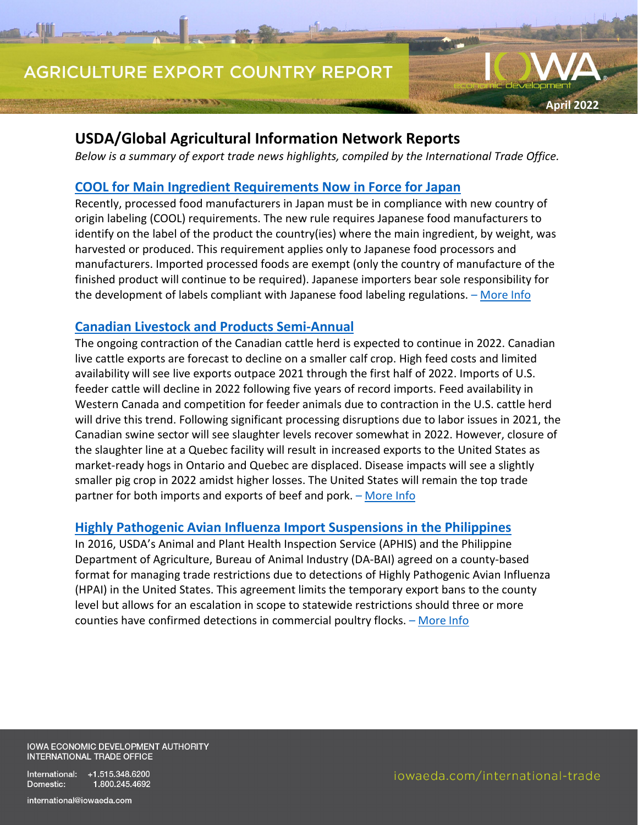# **AGRICULTURE EXPORT COUNTRY REPORT**

## **USDA/Global Agricultural Information Network Reports**

*Below is a summary of export trade news highlights, compiled by the International Trade Office.*

## **[COOL for Main Ingredient Requirements Now in Force for Japan](https://apps.fas.usda.gov/newgainapi/api/Report/DownloadReportByFileName?fileName=COOL%20for%20Main%20Ingredient%20Requirements%20Now%20in%20Force_Tokyo_Japan_JA2022-0026)**

Recently, processed food manufacturers in Japan must be in compliance with new country of origin labeling (COOL) requirements. The new rule requires Japanese food manufacturers to identify on the label of the product the country(ies) where the main ingredient, by weight, was harvested or produced. This requirement applies only to Japanese food processors and manufacturers. Imported processed foods are exempt (only the country of manufacture of the finished product will continue to be required). Japanese importers bear sole responsibility for the development of labels compliant with Japanese food labeling regulations. - [More Info](https://apps.fas.usda.gov/newgainapi/api/Report/DownloadReportByFileName?fileName=COOL%20for%20Main%20Ingredient%20Requirements%20Now%20in%20Force_Tokyo_Japan_JA2022-0026)

## **[Canadian Livestock and Products Semi-Annual](https://apps.fas.usda.gov/newgainapi/api/Report/DownloadReportByFileName?fileName=Livestock%20and%20Products%20Semi-Annual_Ottawa_Canada_CA2022-0009)**

The ongoing contraction of the Canadian cattle herd is expected to continue in 2022. Canadian live cattle exports are forecast to decline on a smaller calf crop. High feed costs and limited availability will see live exports outpace 2021 through the first half of 2022. Imports of U.S. feeder cattle will decline in 2022 following five years of record imports. Feed availability in Western Canada and competition for feeder animals due to contraction in the U.S. cattle herd will drive this trend. Following significant processing disruptions due to labor issues in 2021, the Canadian swine sector will see slaughter levels recover somewhat in 2022. However, closure of the slaughter line at a Quebec facility will result in increased exports to the United States as market-ready hogs in Ontario and Quebec are displaced. Disease impacts will see a slightly smaller pig crop in 2022 amidst higher losses. The United States will remain the top trade partner for both imports and exports of beef and pork. - [More Info](https://apps.fas.usda.gov/newgainapi/api/Report/DownloadReportByFileName?fileName=Livestock%20and%20Products%20Semi-Annual_Ottawa_Canada_CA2022-0009)

## **[Highly Pathogenic Avian Influenza Import Suspensions in the Philippines](https://apps.fas.usda.gov/newgainapi/api/Report/DownloadReportByFileName?fileName=Highly%20Pathogenic%20Avian%20Influenza%20Import%20Suspensions_Manila_Philippines_RP2022-0020)**

In 2016, USDA's Animal and Plant Health Inspection Service (APHIS) and the Philippine Department of Agriculture, Bureau of Animal Industry (DA-BAI) agreed on a county-based format for managing trade restrictions due to detections of Highly Pathogenic Avian Influenza (HPAI) in the United States. This agreement limits the temporary export bans to the county level but allows for an escalation in scope to statewide restrictions should three or more counties have confirmed detections in commercial poultry flocks. – [More Info](https://apps.fas.usda.gov/newgainapi/api/Report/DownloadReportByFileName?fileName=Highly%20Pathogenic%20Avian%20Influenza%20Import%20Suspensions_Manila_Philippines_RP2022-0020)

IOWA ECONOMIC DEVELOPMENT AUTHORITY **INTERNATIONAL TRADE OFFICE** 

International: +1.515.348.6200 Domestic: 1.800.245.4692

**April 2022**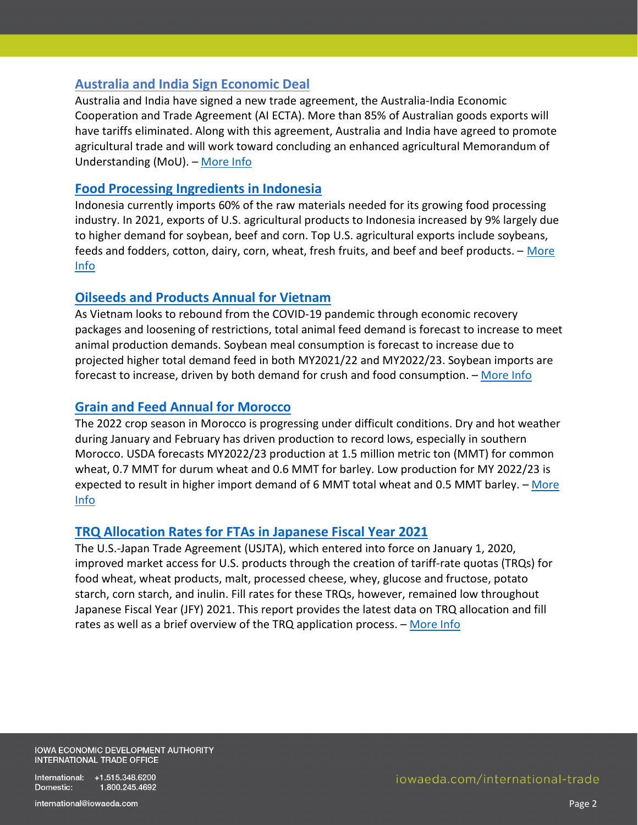#### **[Australia and India Sign Economic Deal](https://apps.fas.usda.gov/newgainapi/api/Report/DownloadReportByFileName?fileName=Australia%20and%20India%20Sign%20Economic%20Deal%20_Canberra_Australia_AS2022-0008)**

Australia and India have signed a new trade agreement, the Australia-India Economic Cooperation and Trade Agreement (AI ECTA). More than 85% of Australian goods exports will have tariffs eliminated. Along with this agreement, Australia and India have agreed to promote agricultural trade and will work toward concluding an enhanced agricultural Memorandum of Understanding (MoU). – [More Info](https://apps.fas.usda.gov/newgainapi/api/Report/DownloadReportByFileName?fileName=Australia%20and%20India%20Sign%20Economic%20Deal%20_Canberra_Australia_AS2022-0008)

#### **[Food Processing Ingredients in Indonesia](https://apps.fas.usda.gov/newgainapi/api/Report/DownloadReportByFileName?fileName=Food%20Processing%20Ingredients_Jakarta_Indonesia_ID2022-0009)**

Indonesia currently imports 60% of the raw materials needed for its growing food processing industry. In 2021, exports of U.S. agricultural products to Indonesia increased by 9% largely due to higher demand for soybean, beef and corn. Top U.S. agricultural exports include soybeans, feeds and fodders, cotton, dairy, corn, wheat, fresh fruits, and beef and beef products. - More [Info](https://apps.fas.usda.gov/newgainapi/api/Report/DownloadReportByFileName?fileName=Food%20Processing%20Ingredients_Jakarta_Indonesia_ID2022-0009)

#### **[Oilseeds and Products Annual for Vietnam](https://apps.fas.usda.gov/newgainapi/api/Report/DownloadReportByFileName?fileName=Oilseeds%20and%20Products%20Annual_Hanoi_Vietnam_VM2022-0019)**

As Vietnam looks to rebound from the COVID-19 pandemic through economic recovery packages and loosening of restrictions, total animal feed demand is forecast to increase to meet animal production demands. Soybean meal consumption is forecast to increase due to projected higher total demand feed in both MY2021/22 and MY2022/23. Soybean imports are forecast to increase, driven by both demand for crush and food consumption. – [More Info](https://apps.fas.usda.gov/newgainapi/api/Report/DownloadReportByFileName?fileName=Oilseeds%20and%20Products%20Annual_Hanoi_Vietnam_VM2022-0019)

#### **[Grain and Feed Annual for Morocco](https://apps.fas.usda.gov/newgainapi/api/Report/DownloadReportByFileName?fileName=Grain%20and%20Feed%20Annual_Rabat_Morocco_MO2022-0009.pdf)**

The 2022 crop season in Morocco is progressing under difficult conditions. Dry and hot weather during January and February has driven production to record lows, especially in southern Morocco. USDA forecasts MY2022/23 production at 1.5 million metric ton (MMT) for common wheat, 0.7 MMT for durum wheat and 0.6 MMT for barley. Low production for MY 2022/23 is expected to result in higher import demand of 6 MMT total wheat and 0.5 MMT barley. - More [Info](https://apps.fas.usda.gov/newgainapi/api/Report/DownloadReportByFileName?fileName=Grain%20and%20Feed%20Annual_Rabat_Morocco_MO2022-0009.pdf)

#### **[TRQ Allocation Rates for FTAs in Japanese Fiscal Year 2021](https://apps.fas.usda.gov/newgainapi/api/Report/DownloadReportByFileName?fileName=TRQ%20Allocation%20Rates%20for%20FTAs%20in%20JFY%202021_Tokyo_Japan_JA2022-0034.pdf)**

The U.S.-Japan Trade Agreement (USJTA), which entered into force on January 1, 2020, improved market access for U.S. products through the creation of tariff-rate quotas (TRQs) for food wheat, wheat products, malt, processed cheese, whey, glucose and fructose, potato starch, corn starch, and inulin. Fill rates for these TRQs, however, remained low throughout Japanese Fiscal Year (JFY) 2021. This report provides the latest data on TRQ allocation and fill rates as well as a brief overview of the TRQ application process. – [More Info](https://apps.fas.usda.gov/newgainapi/api/Report/DownloadReportByFileName?fileName=TRQ%20Allocation%20Rates%20for%20FTAs%20in%20JFY%202021_Tokyo_Japan_JA2022-0034.pdf)

**IOWA ECONOMIC DEVELOPMENT AUTHORITY** INTERNATIONAL TRADE OFFICE

International: +1.515.348.6200 Domestic: 1.800.245.4692